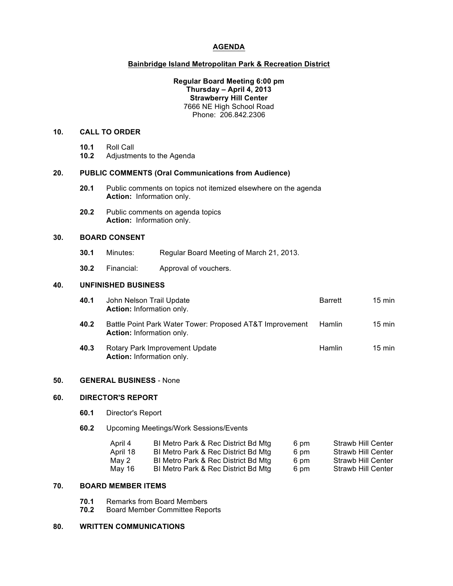## **AGENDA**

### **Bainbridge Island Metropolitan Park & Recreation District**

#### **Regular Board Meeting 6:00 pm Thursday – April 4, 2013 Strawberry Hill Center** 7666 NE High School Road Phone: 206.842.2306

## **10. CALL TO ORDER**

- **10.1** Roll Call
- **10.2** Adjustments to the Agenda

#### **20. PUBLIC COMMENTS (Oral Communications from Audience)**

- **20.1** Public comments on topics not itemized elsewhere on the agenda **Action:** Information only.
- **20.2** Public comments on agenda topics **Action:** Information only.

## **30. BOARD CONSENT**

- **30.1** Minutes: Regular Board Meeting of March 21, 2013.
- **30.2** Financial: Approval of vouchers.

### **40. UNFINISHED BUSINESS**

- **40.1** John Nelson Trail Update **Barrett** 15 min **Action:** Information only.
- **40.2** Battle Point Park Water Tower: Proposed AT&T Improvement Hamlin 15 min **Action:** Information only.
- **40.3** Rotary Park Improvement Update **Hamlin** 15 min **Action:** Information only.

#### **50. GENERAL BUSINESS** - None

#### **60. DIRECTOR'S REPORT**

- **60.1** Director's Report
- **60.2** Upcoming Meetings/Work Sessions/Events

| April 4  | BI Metro Park & Rec District Bd Mtg | 6 pm | Strawb Hill Center |
|----------|-------------------------------------|------|--------------------|
| April 18 | BI Metro Park & Rec District Bd Mtg | 6 pm | Strawb Hill Center |
| May 2    | BI Metro Park & Rec District Bd Mtg | 6 pm | Strawb Hill Center |
| May 16   | BI Metro Park & Rec District Bd Mtg | 6 pm | Strawb Hill Center |

### **70. BOARD MEMBER ITEMS**

- **70.1** Remarks from Board Members
- **70.2** Board Member Committee Reports

## **80. WRITTEN COMMUNICATIONS**